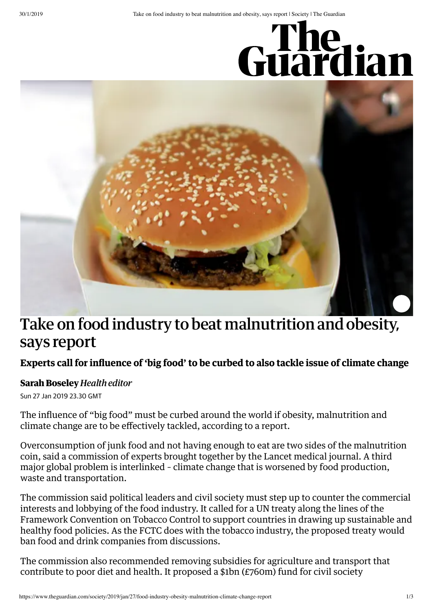# Guardia<sub>1</sub>



## Take on food industry to beat malnutrition and obesity, says report

#### **Experts call for influence of 'big food' to be curbed to also tackle issue of climate change**

#### **Sarah [Boseley](https://www.theguardian.com/profile/sarahboseley)** *Health editor*

Sun 27 Jan 2019 23.30 GMT

The influence of "big food" must be curbed around the world if obesity, malnutrition and climate change are to be effectively tackled, according to a report.

Overconsumption of junk food and not having enough to eat are two sides of the malnutrition coin, said a [commission](https://www.thelancet.com/journals/lancet/article/PIIS0140-6736(18)32822-8/fulltext) of experts brought together by the Lancet medical journal. A third major global problem is interlinked – climate change that is worsened by food production, waste and transportation.

The commission said political leaders and civil society must step up to counter the commercial interests and lobbying of the food industry. It called for a UN treaty along the lines of the Framework Convention on Tobacco Control to support countries in drawing up sustainable and healthy food policies. As the FCTC does with the tobacco industry, the proposed treaty would ban food and drink companies from discussions.

The commission also recommended removing subsidies for [agriculture](https://www.theguardian.com/environment/2018/dec/28/revealed-industrial-scale-farms-receive-millions-in-subsidies) and transport that contribute to poor diet and health. It proposed a \$1bn (£760m) fund for civil society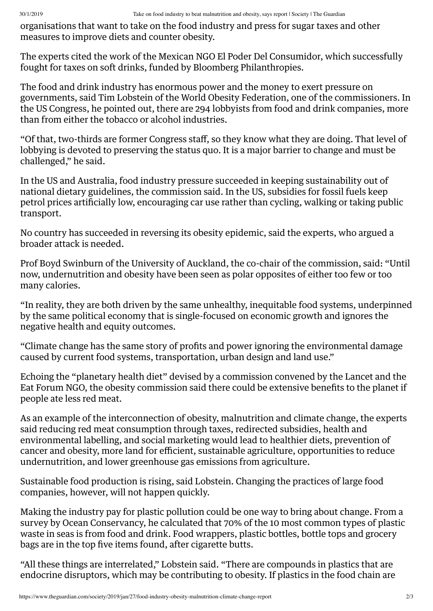organisations that want to take on the food industry and press for sugar taxes and other measures to improve diets and counter obesity.

The experts cited the work of the Mexican NGO El Poder Del Consumidor, which successfully fought for taxes on soft [drinks](https://www.theguardian.com/society/2017/feb/22/mexico-sugar-tax-lower-consumption-second-year-running), funded by Bloomberg Philanthropies.

The food and drink industry has enormous power and the money to exert pressure on governments, said Tim Lobstein of the World [Obesity](https://www.theguardian.com/society/obesity) Federation, one of the commissioners. In the US Congress, he pointed out, there are 294 lobbyists from food and drink companies, more than from either the tobacco or alcohol industries.

"Of that, two-thirds are former Congress staff, so they know what they are doing. That level of lobbying is devoted to preserving the status quo. It is a major barrier to change and must be challenged," he said.

In the US and Australia, food industry pressure succeeded in keeping sustainability out of national dietary guidelines, the commission said. In the US, [subsidies](https://www.theguardian.com/environment/climate-consensus-97-per-cent/2017/aug/07/fossil-fuel-subsidies-are-a-staggering-5-tn-per-year) for fossil fuels keep petrol prices artificially low, encouraging car use rather than cycling, walking or taking public transport.

No country has succeeded in reversing its obesity epidemic, said the experts, who argued a broader attack is needed.

Prof Boyd Swinburn of the University of Auckland, the co-chair of the commission, said: "Until now, undernutrition and obesity have been seen as polar opposites of either too few or too many calories.

"In reality, they are both driven by the same unhealthy, inequitable food systems, underpinned by the same political economy that is single-focused on economic growth and ignores the negative health and equity outcomes.

"Climate change has the same story of profits and power ignoring the environmental damage caused by current food systems, transportation, urban design and land use."

Echoing the ["planetary](https://www.theguardian.com/environment/2019/jan/16/new-plant-focused-diet-would-transform-planets-future-say-scientists) health diet" devised by a commission convened by the Lancet and the Eat Forum NGO, the obesity commission said there could be extensive benefits to the planet if people ate less red [meat.](https://www.theguardian.com/environment/2018/dec/21/lifestyle-change-eat-less-meat-climate-change)

As an example of the interconnection of obesity, malnutrition and climate change, the experts said reducing red meat consumption through taxes, redirected subsidies, health and environmental labelling, and social marketing would lead to healthier diets, prevention of cancer and obesity, more land for efficient, sustainable agriculture, opportunities to reduce undernutrition, and lower [greenhouse](https://www.theguardian.com/environment/2018/may/31/avoiding-meat-and-dairy-is-single-biggest-way-to-reduce-your-impact-on-earth) gas emissions from agriculture.

Sustainable food production is rising, said Lobstein. Changing the practices of large food companies, however, will not happen quickly.

Making the industry pay for plastic pollution could be one way to bring about change. From a survey by Ocean Conservancy, he calculated that 70% of the 10 most common types of plastic waste in seas is from food and drink. [Food](https://www.theguardian.com/food) wrappers, plastic bottles, bottle tops and grocery bags are in the top five items found, after cigarette butts.

"All these things are interrelated," Lobstein said. "There are compounds in plastics that are endocrine disruptors, which may be contributing to obesity. If plastics in the food chain are